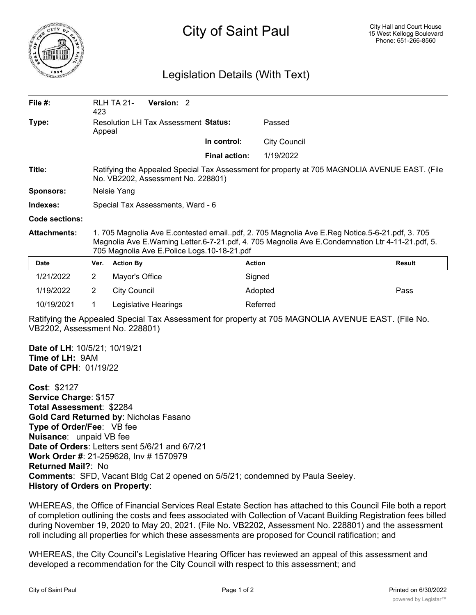

## City of Saint Paul

## Legislation Details (With Text)

| File $#$ :          | 423                                                                                                                                                                                                                                              | Version: 2<br><b>RLH TA 21-</b>      |                      |                     |        |
|---------------------|--------------------------------------------------------------------------------------------------------------------------------------------------------------------------------------------------------------------------------------------------|--------------------------------------|----------------------|---------------------|--------|
| Type:               | Appeal                                                                                                                                                                                                                                           | Resolution LH Tax Assessment Status: | Passed               |                     |        |
|                     |                                                                                                                                                                                                                                                  |                                      | In control:          | <b>City Council</b> |        |
|                     |                                                                                                                                                                                                                                                  |                                      | <b>Final action:</b> | 1/19/2022           |        |
| Title:              | Ratifying the Appealed Special Tax Assessment for property at 705 MAGNOLIA AVENUE EAST. (File<br>No. VB2202, Assessment No. 228801)                                                                                                              |                                      |                      |                     |        |
| <b>Sponsors:</b>    | Nelsie Yang                                                                                                                                                                                                                                      |                                      |                      |                     |        |
| Indexes:            | Special Tax Assessments, Ward - 6                                                                                                                                                                                                                |                                      |                      |                     |        |
| Code sections:      |                                                                                                                                                                                                                                                  |                                      |                      |                     |        |
| <b>Attachments:</b> | 1. 705 Magnolia Ave E.contested emailpdf, 2. 705 Magnolia Ave E.Reg Notice.5-6-21.pdf, 3. 705<br>Magnolia Ave E.Warning Letter.6-7-21.pdf, 4. 705 Magnolia Ave E.Condemnation Ltr 4-11-21.pdf, 5.<br>705 Magnolia Ave E.Police Logs.10-18-21.pdf |                                      |                      |                     |        |
| <b>Date</b>         | Ver.                                                                                                                                                                                                                                             | <b>Action By</b>                     |                      | <b>Action</b>       | Result |
| 1/21/2022           | $\overline{2}$                                                                                                                                                                                                                                   | Mayor's Office                       |                      | Signed              |        |
| 1/19/2022           | $\overline{2}$                                                                                                                                                                                                                                   | <b>City Council</b>                  |                      | Adopted             | Pass   |
| 10/19/2021          |                                                                                                                                                                                                                                                  | Legislative Hearings                 |                      | Referred            |        |

Ratifying the Appealed Special Tax Assessment for property at 705 MAGNOLIA AVENUE EAST. (File No. VB2202, Assessment No. 228801)

**Date of LH**: 10/5/21; 10/19/21 **Time of LH:** 9AM **Date of CPH**: 01/19/22

**Cost**: \$2127 **Service Charge**: \$157 **Total Assessment**: \$2284 **Gold Card Returned by**: Nicholas Fasano **Type of Order/Fee**: VB fee **Nuisance**: unpaid VB fee **Date of Orders**: Letters sent 5/6/21 and 6/7/21 **Work Order #**: 21-259628, Inv # 1570979 **Returned Mail?**: No **Comments**: SFD, Vacant Bldg Cat 2 opened on 5/5/21; condemned by Paula Seeley. **History of Orders on Property**:

WHEREAS, the Office of Financial Services Real Estate Section has attached to this Council File both a report of completion outlining the costs and fees associated with Collection of Vacant Building Registration fees billed during November 19, 2020 to May 20, 2021. (File No. VB2202, Assessment No. 228801) and the assessment roll including all properties for which these assessments are proposed for Council ratification; and

WHEREAS, the City Council's Legislative Hearing Officer has reviewed an appeal of this assessment and developed a recommendation for the City Council with respect to this assessment; and